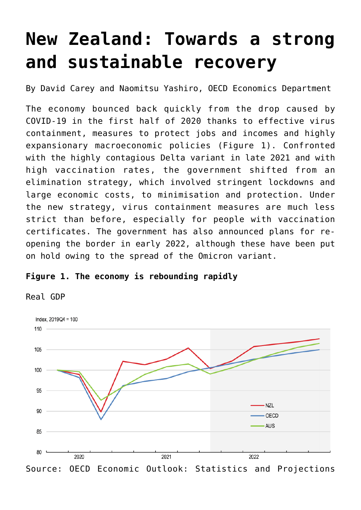# **[New Zealand: Towards a strong](https://oecdecoscope.blog/2022/02/02/new-zealand-towards-a-strong-and-sustainable-recovery/) [and sustainable recovery](https://oecdecoscope.blog/2022/02/02/new-zealand-towards-a-strong-and-sustainable-recovery/)**

By David Carey and Naomitsu Yashiro, OECD Economics Department

The economy bounced back quickly from the drop caused by COVID-19 in the first half of 2020 thanks to effective virus containment, measures to protect jobs and incomes and highly expansionary macroeconomic policies (Figure 1). Confronted with the highly contagious Delta variant in late 2021 and with high vaccination rates, the government shifted from an elimination strategy, which involved stringent lockdowns and large economic costs, to minimisation and protection. Under the new strategy, virus containment measures are much less strict than before, especially for people with vaccination certificates. The government has also announced plans for reopening the border in early 2022, although these have been put on hold owing to the spread of the Omicron variant.

## **Figure 1. The economy is rebounding rapidly**

Real GDP

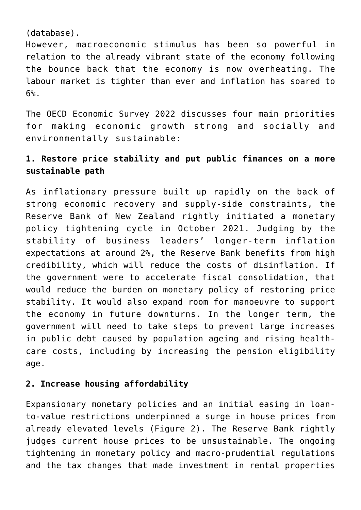(database).

However, macroeconomic stimulus has been so powerful in relation to the already vibrant state of the economy following the bounce back that the economy is now overheating. The labour market is tighter than ever and inflation has soared to 6%.

The [OECD Economic Survey 2022](https://www.oecd.org/economy/new-zealand-economic-snapshot/) discusses four main priorities for making economic growth strong and socially and environmentally sustainable:

# **1. Restore price stability and put public finances on a more sustainable path**

As inflationary pressure built up rapidly on the back of strong economic recovery and supply-side constraints, the Reserve Bank of New Zealand rightly initiated a monetary policy tightening cycle in October 2021. Judging by the stability of business leaders' longer-term inflation expectations at around 2%, the Reserve Bank benefits from high credibility, which will reduce the costs of disinflation. If the government were to accelerate fiscal consolidation, that would reduce the burden on monetary policy of restoring price stability. It would also expand room for manoeuvre to support the economy in future downturns. In the longer term, the government will need to take steps to prevent large increases in public debt caused by population ageing and rising healthcare costs, including by increasing the pension eligibility age.

## **2. Increase housing affordability**

Expansionary monetary policies and an initial easing in loanto-value restrictions underpinned a surge in house prices from already elevated levels (Figure 2). The Reserve Bank rightly judges current house prices to be unsustainable. The ongoing tightening in monetary policy and macro-prudential regulations and the tax changes that made investment in rental properties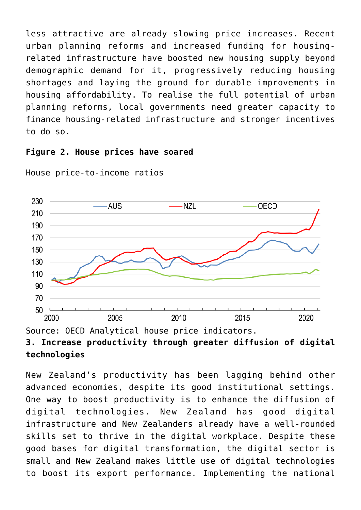less attractive are already slowing price increases. Recent urban planning reforms and increased funding for housingrelated infrastructure have boosted new housing supply beyond demographic demand for it, progressively reducing housing shortages and laying the ground for durable improvements in housing affordability. To realise the full potential of urban planning reforms, local governments need greater capacity to finance housing-related infrastructure and stronger incentives to do so.

#### **Figure 2. House prices have soared**



House price-to-income ratios

New Zealand's productivity has been lagging behind other advanced economies, despite its good institutional settings. One way to boost productivity is to enhance the diffusion of digital technologies. New Zealand has good digital infrastructure and New Zealanders already have a well-rounded skills set to thrive in the digital workplace. Despite these good bases for digital transformation, the digital sector is small and New Zealand makes little use of digital technologies to boost its export performance. Implementing the national

Source: OECD [Analytical house price indicators](https://stats.oecd.org/index.aspx?DataSetCode=EO). **3. Increase productivity through greater diffusion of digital technologies**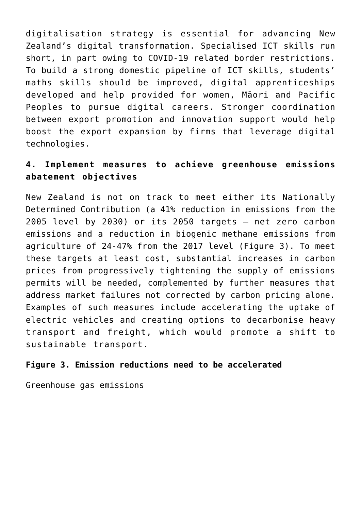digitalisation strategy is essential for advancing New Zealand's digital transformation. Specialised ICT skills run short, in part owing to COVID-19 related border restrictions. To build a strong domestic pipeline of ICT skills, students' maths skills should be improved, digital apprenticeships developed and help provided for women, Māori and Pacific Peoples to pursue digital careers. Stronger coordination between export promotion and innovation support would help boost the export expansion by firms that leverage digital technologies.

## **4. Implement measures to achieve greenhouse emissions abatement objectives**

New Zealand is not on track to meet either its Nationally Determined Contribution (a 41% reduction in emissions from the 2005 level by 2030) or its 2050 targets – net zero carbon emissions and a reduction in biogenic methane emissions from agriculture of 24-47% from the 2017 level (Figure 3). To meet these targets at least cost, substantial increases in carbon prices from progressively tightening the supply of emissions permits will be needed, complemented by further measures that address market failures not corrected by carbon pricing alone. Examples of such measures include accelerating the uptake of electric vehicles and creating options to decarbonise heavy transport and freight, which would promote a shift to sustainable transport.

#### **Figure 3. Emission reductions need to be accelerated**

Greenhouse gas emissions